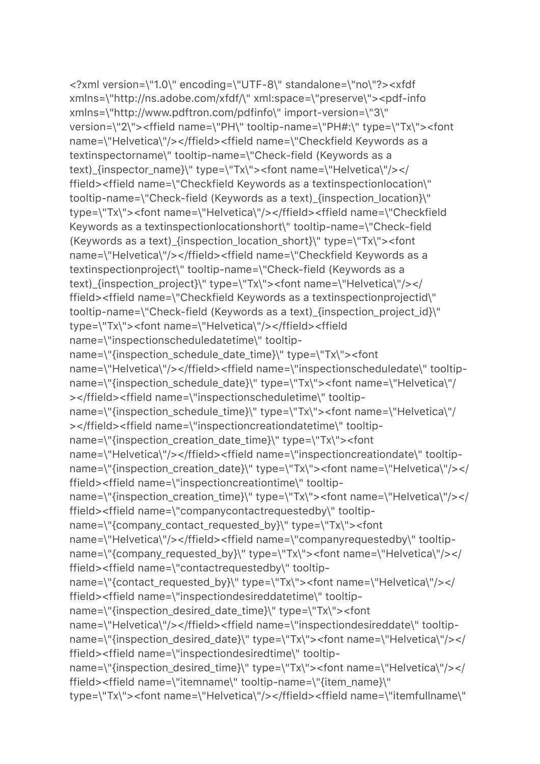```
<?xml version=\"1.0\" encoding=\"UTF-8\" standalone=\"no\"?><xfdf 
xmlns=\"http://ns.adobe.com/xfdf/\" xml:space=\"preserve\"><pdf-info 
xmlns=\"http://www.pdftron.com/pdfinfo\" import-version=\"3\" 
version=\"2\"><ffield name=\"PH\" tooltip-name=\"PH#:\" type=\"Tx\"><font 
name=\"Helvetica\"/></ffield><ffield name=\"Checkfield Keywords as a 
textinspectorname\" tooltip-name=\"Check-field (Keywords as a 
text)_{inspector_name}\" type=\"Tx\"><font name=\"Helvetica\"/></
ffield><ffield name=\"Checkfield Keywords as a textinspectionlocation\" 
tooltip-name=\"Check-field (Keywords as a text)_{inspection_location}\" 
type=\"Tx\"><font name=\"Helvetica\"/></ffield><ffield name=\"Checkfield 
Keywords as a textinspectionlocationshort\" tooltip-name=\"Check-field 
(Keywords as a text)_{inspection_location_short}\" type=\"Tx\"><font 
name=\"Helvetica\"/></ffield><ffield name=\"Checkfield Keywords as a 
textinspectionproject\" tooltip-name=\"Check-field (Keywords as a 
text)_{inspection_project}\" type=\"Tx\"><font name=\"Helvetica\"/></
ffield><ffield name=\"Checkfield Keywords as a textinspectionprojectid\" 
tooltip-name=\"Check-field (Keywords as a text)_{inspection_project_id}\" 
type=\"Tx\"><font name=\"Helvetica\"/></ffield><ffield 
name=\"inspectionscheduledatetime\" tooltip-
name=\"{inspection_schedule_date_time}\" type=\"Tx\"><font 
name=\"Helvetica\"/></ffield><ffield name=\"inspectionscheduledate\" tooltip-
name=\"{inspection_schedule_date}\" type=\"Tx\"><font name=\"Helvetica\"/
></ffield><ffield name=\"inspectionscheduletime\" tooltip-
name=\"{inspection_schedule_time}\" type=\"Tx\"><font name=\"Helvetica\"/
></ffield><ffield name=\"inspectioncreationdatetime\" tooltip-
name=\"{inspection_creation_date_time}\" type=\"Tx\"><font 
name=\"Helvetica\"/></ffield><ffield name=\"inspectioncreationdate\" tooltip-
name=\"{inspection_creation_date}\" type=\"Tx\"><font name=\"Helvetica\"/></
ffield><ffield name=\"inspectioncreationtime\" tooltip-
name=\"{inspection_creation_time}\" type=\"Tx\"><font name=\"Helvetica\"/></
ffield><ffield name=\"companycontactrequestedby\" tooltip-
name=\"{company_contact_requested_by}\" type=\"Tx\"><font 
name=\"Helvetica\"/></ffield><ffield name=\"companyrequestedby\" tooltip-
name=\"{company_requested_by}\" type=\"Tx\"><font name=\"Helvetica\"/></
ffield><ffield name=\"contactrequestedby\" tooltip-
name=\"{contact_requested_by}\" type=\"Tx\"><font name=\"Helvetica\"/></
ffield><ffield name=\"inspectiondesireddatetime\" tooltip-
name=\"{inspection_desired_date_time}\" type=\"Tx\"><font 
name=\"Helvetica\"/></ffield><ffield name=\"inspectiondesireddate\" tooltip-
name=\"{inspection_desired_date}\" type=\"Tx\"><font name=\"Helvetica\"/></
ffield><ffield name=\"inspectiondesiredtime\" tooltip-
name=\"{inspection_desired_time}\" type=\"Tx\"><font name=\"Helvetica\"/></
ffield><ffield name=\"itemname\" tooltip-name=\"{item_name}\" 
type=\"Tx\"><font name=\"Helvetica\"/></ffield><ffield name=\"itemfullname\"
```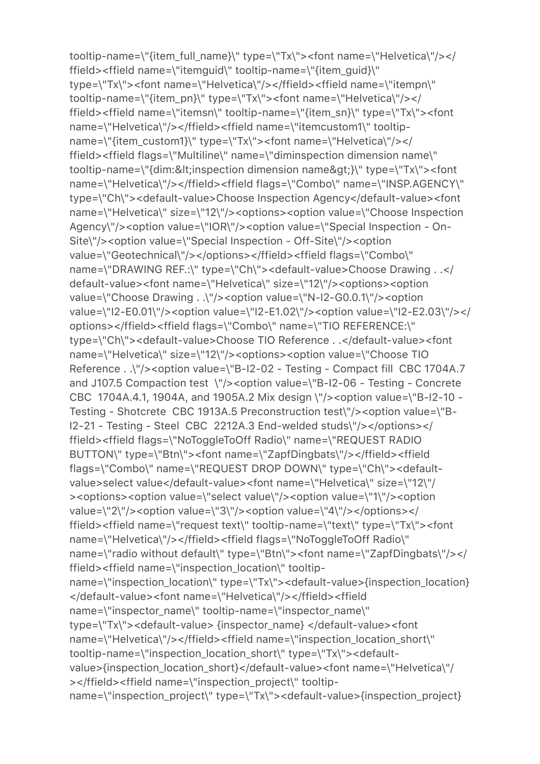tooltip-name=\"{item\_full\_name}\" type=\"Tx\"><font name=\"Helvetica\"/></ ffield><ffield name=\"itemguid\" tooltip-name=\"{item\_guid}\" type=\"Tx\"><font name=\"Helvetica\"/></ffield><ffield name=\"itempn\" tooltip-name=\"{item\_pn}\" type=\"Tx\"><font name=\"Helvetica\"/></ ffield><ffield name=\"itemsn\" tooltip-name=\"{item\_sn}\" type=\"Tx\"><font name=\"Helvetica\"/></ffield><ffield name=\"itemcustom1\" tooltipname=\"{item\_custom1}\" type=\"Tx\"><font name=\"Helvetica\"/></ ffield><ffield flags=\"Multiline\" name=\"diminspection dimension name\" tooltip-name=\"{dim:<inspection dimension name&gt;}\" type=\"Tx\"><font name=\"Helvetica\"/></ffield><ffield flags=\"Combo\" name=\"INSP.AGENCY\" type=\"Ch\"><default-value>Choose Inspection Agency</default-value><font name=\"Helvetica\" size=\"12\"/><options><option value=\"Choose Inspection Agency\"/><option value=\"IOR\"/><option value=\"Special Inspection - On-Site\"/><option value=\"Special Inspection - Off-Site\"/><option value=\"Geotechnical\"/></options></ffield><ffield flags=\"Combo\" name=\"DRAWING REF.:\" type=\"Ch\"><default-value>Choose Drawing . .</ default-value><font name=\"Helvetica\" size=\"12\"/><options><option value=\"Choose Drawing . .\"/><option value=\"N-I2-G0.0.1\"/><option value=\"I2-E0.01\"/><option value=\"I2-E1.02\"/><option value=\"I2-E2.03\"/></ options></ffield><ffield flags=\"Combo\" name=\"TIO REFERENCE:\" type=\"Ch\"><default-value>Choose TIO Reference . .</default-value><font name=\"Helvetica\" size=\"12\"/><options><option value=\"Choose TIO Reference . .\"/><option value=\"B-I2-02 - Testing - Compact fill CBC 1704A.7 and J107.5 Compaction test \"/><option value=\"B-I2-06 - Testing - Concrete CBC 1704A.4.1, 1904A, and 1905A.2 Mix design \"/><option value=\"B-I2-10 - Testing - Shotcrete CBC 1913A.5 Preconstruction test\"/><option value=\"B-I2-21 - Testing - Steel CBC 2212A.3 End-welded studs\"/></options></ ffield><ffield flags=\"NoToggleToOff Radio\" name=\"REQUEST RADIO BUTTON\" type=\"Btn\"><font name=\"ZapfDingbats\"/></ffield><ffield flags=\"Combo\" name=\"REQUEST DROP DOWN\" type=\"Ch\"><defaultvalue>select value</default-value><font name=\"Helvetica\" size=\"12\"/ ><options><option value=\"select value\"/><option value=\"1\"/><option value=\"2\"/><option value=\"3\"/><option value=\"4\"/></options></ ffield><ffield name=\"request text\" tooltip-name=\"text\" type=\"Tx\"><font name=\"Helvetica\"/></ffield><ffield flags=\"NoToggleToOff Radio\" name=\"radio without default\" type=\"Btn\"><font name=\"ZapfDingbats\"/></ ffield><ffield name=\"inspection\_location\" tooltipname=\"inspection\_location\" type=\"Tx\"><default-value>{inspection\_location} </default-value><font name=\"Helvetica\"/></ffield><ffield name=\"inspector\_name\" tooltip-name=\"inspector\_name\" type=\"Tx\"><default-value> {inspector\_name} </default-value><font name=\"Helvetica\"/></ffield><ffield name=\"inspection\_location\_short\" tooltip-name=\"inspection\_location\_short\" type=\"Tx\"><defaultvalue>{inspection\_location\_short}</default-value><font name=\"Helvetica\"/ ></ffield><ffield name=\"inspection\_project\" tooltipname=\"inspection\_project\" type=\"Tx\"><default-value>{inspection\_project}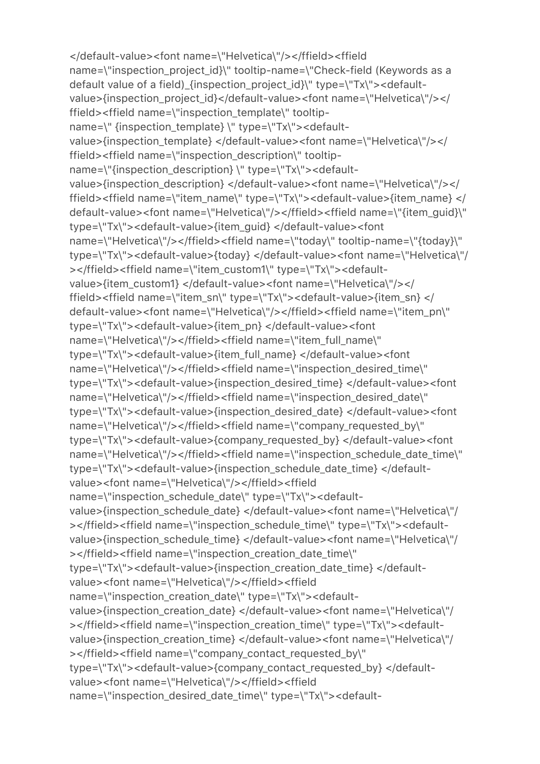```
</default-value><font name=\"Helvetica\"/></ffield><ffield 
name=\"inspection_project_id}\" tooltip-name=\"Check-field (Keywords as a 
default value of a field)_{inspection_project_id}\" type=\"Tx\"><default-
value>{inspection_project_id}</default-value><font name=\"Helvetica\"/></
ffield><ffield name=\"inspection_template\" tooltip-
name=\" {inspection_template} \" type=\"Tx\"><default-
value>{inspection_template} </default-value><font name=\"Helvetica\"/></
ffield><ffield name=\"inspection_description\" tooltip-
name=\"{inspection_description} \" type=\"Tx\"><default-
value>{inspection_description} </default-value><font name=\"Helvetica\"/></
ffield><ffield name=\"item_name\" type=\"Tx\"><default-value>{item_name} </
default-value><font name=\"Helvetica\"/></ffield><ffield name=\"{item_guid}\" 
type=\"Tx\"><default-value>{item_guid} </default-value><font 
name=\"Helvetica\"/></ffield><ffield name=\"today\" tooltip-name=\"{today}\"
type=\"Tx\"><default-value>{today} </default-value><font name=\"Helvetica\"/
></ffield><ffield name=\"item_custom1\" type=\"Tx\"><default-
value>{item_custom1} </default-value><font name=\"Helvetica\"/></
ffield><ffield name=\"item_sn\" type=\"Tx\"><default-value>{item_sn} </
default-value><font name=\"Helvetica\"/></ffield><ffield name=\"item_pn\" 
type=\"Tx\"><default-value>{item_pn} </default-value><font 
name=\"Helvetica\"/></ffield><ffield name=\"item_full_name\" 
type=\"Tx\"><default-value>{item_full_name} </default-value><font 
name=\"Helvetica\"/></ffield><ffield name=\"inspection_desired_time\" 
type=\"Tx\"><default-value>{inspection_desired_time} </default-value><font 
name=\"Helvetica\"/></ffield><ffield name=\"inspection_desired_date\" 
type=\"Tx\"><default-value>{inspection_desired_date} </default-value><font 
name=\"Helvetica\"/></ffield><ffield name=\"company_requested_by\" 
type=\"Tx\"><default-value>{company_requested_by} </default-value><font 
name=\"Helvetica\"/></ffield><ffield name=\"inspection_schedule_date_time\" 
type=\"Tx\"><default-value>{inspection_schedule_date_time} </default-
value><font name=\"Helvetica\"/></ffield><ffield 
name=\"inspection_schedule_date\" type=\"Tx\"><default-
value>{inspection_schedule_date} </default-value><font name=\"Helvetica\"/
></ffield><ffield name=\"inspection_schedule_time\" type=\"Tx\"><default-
value>{inspection_schedule_time} </default-value><font name=\"Helvetica\"/
></ffield><ffield name=\"inspection_creation_date_time\" 
type=\"Tx\"><default-value>{inspection_creation_date_time} </default-
value><font name=\"Helvetica\"/></ffield><ffield 
name=\"inspection_creation_date\" type=\"Tx\"><default-
value>{inspection_creation_date} </default-value><font name=\"Helvetica\"/
></ffield><ffield name=\"inspection_creation_time\" type=\"Tx\"><default-
value>{inspection_creation_time} </default-value><font name=\"Helvetica\"/
></ffield><ffield name=\"company_contact_requested_by\" 
type=\"Tx\"><default-value>{company_contact_requested_by} </default-
value><font name=\"Helvetica\"/></ffield><ffield 
name=\"inspection_desired_date_time\" type=\"Tx\"><default-
```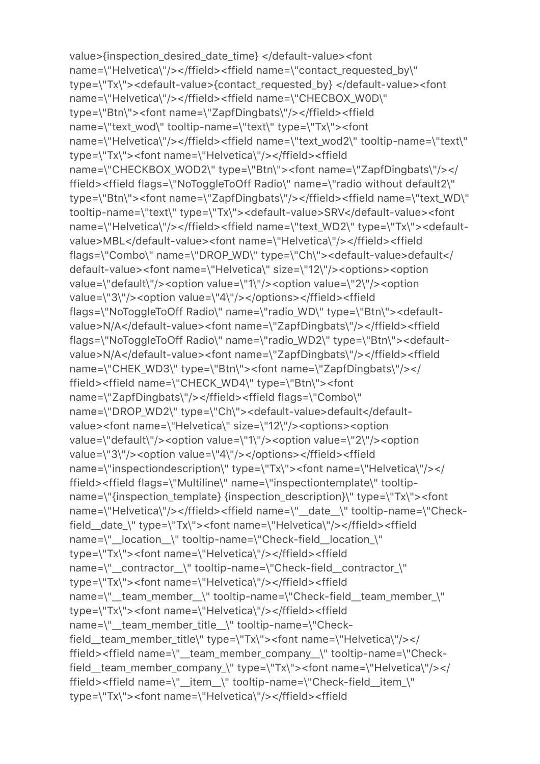value>{inspection\_desired\_date\_time} </default-value><font name=\"Helvetica\"/></ffield><ffield name=\"contact\_requested\_by\" type=\"Tx\"><default-value>{contact\_requested\_by} </default-value><font name=\"Helvetica\"/></ffield><ffield name=\"CHECBOX\_W0D\" type=\"Btn\"><font name=\"ZapfDingbats\"/></ffield><ffield name=\"text\_wod\" tooltip-name=\"text\" type=\"Tx\"><font name=\"Helvetica\"/></ffield><ffield name=\"text\_wod2\" tooltip-name=\"text\" type=\"Tx\"><font name=\"Helvetica\"/></ffield><ffield name=\"CHECKBOX\_WOD2\" type=\"Btn\"><font name=\"ZapfDingbats\"/></ ffield><ffield flags=\"NoToggleToOff Radio\" name=\"radio without default2\" type=\"Btn\"><font name=\"ZapfDingbats\"/></ffield><ffield name=\"text\_WD\" tooltip-name=\"text\" type=\"Tx\"><default-value>SRV</default-value><font name=\"Helvetica\"/></ffield><ffield name=\"text\_WD2\" type=\"Tx\"><defaultvalue>MBL</default-value><font name=\"Helvetica\"/></ffield><ffield flags=\"Combo\" name=\"DROP\_WD\" type=\"Ch\"><default-value>default</ default-value><font name=\"Helvetica\" size=\"12\"/><options><option value=\"default\"/><option value=\"1\"/><option value=\"2\"/><option value=\"3\"/><option value=\"4\"/></options></ffield><ffield flags=\"NoToggleToOff Radio\" name=\"radio\_WD\" type=\"Btn\"><defaultvalue>N/A</default-value><font name=\"ZapfDingbats\"/></ffield><ffield flags=\"NoToggleToOff Radio\" name=\"radio\_WD2\" type=\"Btn\"><defaultvalue>N/A</default-value><font name=\"ZapfDingbats\"/></ffield><ffield name=\"CHEK\_WD3\" type=\"Btn\"><font name=\"ZapfDingbats\"/></ ffield><ffield name=\"CHECK\_WD4\" type=\"Btn\"><font name=\"ZapfDingbats\"/></ffield><ffield flags=\"Combo\" name=\"DROP\_WD2\" type=\"Ch\"><default-value>default</defaultvalue><font name=\"Helvetica\" size=\"12\"/><options><option value=\"default\"/><option value=\"1\"/><option value=\"2\"/><option value=\"3\"/><option value=\"4\"/></options></ffield><ffield name=\"inspectiondescription\" type=\"Tx\"><font name=\"Helvetica\"/></ ffield><ffield flags=\"Multiline\" name=\"inspectiontemplate\" tooltipname=\"{inspection\_template} {inspection\_description}\" type=\"Tx\"><font name=\"Helvetica\"/></ffield><ffield name=\"\_date\_\_\" tooltip-name=\"Checkfield\_\_date\_\" type=\"Tx\"><font name=\"Helvetica\"/></ffield><ffield name=\"\_\_location\_\_\" tooltip-name=\"Check-field\_\_location\_\" type=\"Tx\"><font name=\"Helvetica\"/></ffield><ffield name=\"\_contractor\_\" tooltip-name=\"Check-field\_contractor\_\" type=\"Tx\"><font name=\"Helvetica\"/></ffield><ffield name=\"\_\_team\_member\_\_\" tooltip-name=\"Check-field\_\_team\_member\_\" type=\"Tx\"><font name=\"Helvetica\"/></ffield><ffield name=\"\_\_team\_member\_title\_\_\" tooltip-name=\"Checkfield\_\_team\_member\_title\" type=\"Tx\"><font name=\"Helvetica\"/></ ffield><ffield name=\"\_\_team\_member\_company\_\_\" tooltip-name=\"Checkfield\_\_team\_member\_company\_\" type=\"Tx\"><font name=\"Helvetica\"/></ ffield><ffield name=\"\_\_item\_\_\" tooltip-name=\"Check-field\_\_item\_\" type=\"Tx\"><font name=\"Helvetica\"/></ffield><ffield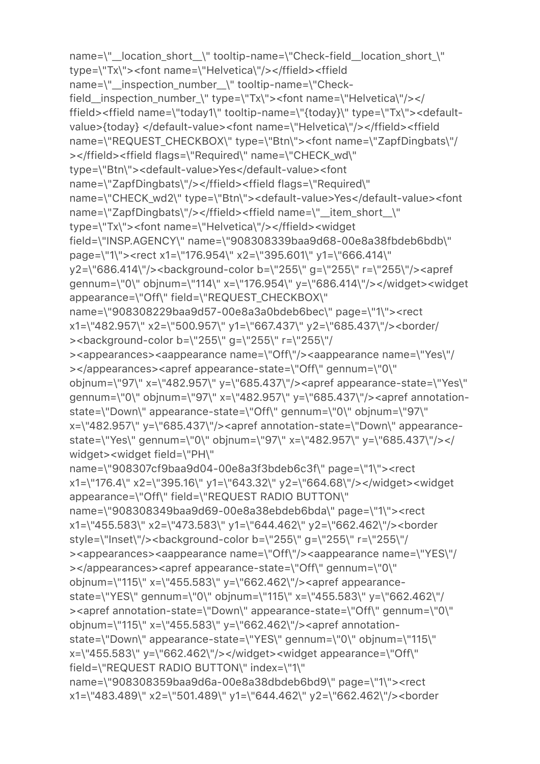```
name=\"_location_short_\" tooltip-name=\"Check-field_location_short_\"
type=\"Tx\"><font name=\"Helvetica\"/></ffield><ffield 
name=\"__inspection_number__\" tooltip-name=\"Check-
field__inspection_number_\" type=\"Tx\"><font name=\"Helvetica\"/></
ffield><ffield name=\"today1\" tooltip-name=\"{today}\" type=\"Tx\"><default-
value>{today} </default-value><font name=\"Helvetica\"/></ffield><ffield 
name=\"REQUEST_CHECKBOX\" type=\"Btn\"><font name=\"ZapfDingbats\"/
></ffield><ffield flags=\"Required\" name=\"CHECK_wd\" 
type=\"Btn\"><default-value>Yes</default-value><font 
name=\"ZapfDingbats\"/></ffield><ffield flags=\"Required\" 
name=\"CHECK_wd2\" type=\"Btn\"><default-value>Yes</default-value><font 
name=\"ZapfDingbats\"/></ffield><ffield name=\"__item_short__\" 
type=\"Tx\"><font name=\"Helvetica\"/></ffield><widget 
field=\"INSP.AGENCY\" name=\"908308339baa9d68-00e8a38fbdeb6bdb\" 
page=\"1\"><rect x1=\"176.954\" x2=\"395.601\" y1=\"666.414\" 
y2=\"686.414\"/><background-color b=\"255\" g=\"255\" r=\"255\"/><apref 
gennum=\"0\" objnum=\"114\" x=\"176.954\" y=\"686.414\"/></widget><widget 
appearance=\"Off\" field=\"REQUEST_CHECKBOX\" 
name=\"908308229baa9d57-00e8a3a0bdeb6bec\" page=\"1\"><rect 
x1=\"482.957\" x2=\"500.957\" y1=\"667.437\" y2=\"685.437\"/><border/
><background-color b=\"255\" g=\"255\" r=\"255\"/
><appearances><aappearance name=\"Off\"/><aappearance name=\"Yes\"/
></appearances><apref appearance-state=\"Off\" gennum=\"0\" 
objnum=\"97\" x=\"482.957\" y=\"685.437\"/><apref appearance-state=\"Yes\" 
gennum=\"0\" objnum=\"97\" x=\"482.957\" y=\"685.437\"/><apref annotation-
state=\"Down\" appearance-state=\"Off\" gennum=\"0\" objnum=\"97\" 
x=\"482.957\" y=\"685.437\"/><apref annotation-state=\"Down\" appearance-
state=\"Yes\" gennum=\"0\" objnum=\"97\" x=\"482.957\" y=\"685.437\"/></
widget><widget field=\"PH\" 
name=\"908307cf9baa9d04-00e8a3f3bdeb6c3f\" page=\"1\"><rect 
x1=\"176.4\" x2=\"395.16\" y1=\"643.32\" y2=\"664.68\"/></widget><widget 
appearance=\"Off\" field=\"REQUEST RADIO BUTTON\" 
name=\"908308349baa9d69-00e8a38ebdeb6bda\" page=\"1\"><rect 
x1=\"455.583\" x2=\"473.583\" y1=\"644.462\" y2=\"662.462\"/><border 
style=\"Inset\"/><background-color b=\"255\" g=\"255\" r=\"255\"/
><appearances><aappearance name=\"Off\"/><aappearance name=\"YES\"/
></appearances><apref appearance-state=\"Off\" gennum=\"0\" 
objnum=\"115\" x=\"455.583\" y=\"662.462\"/><apref appearance-
state=\"YES\" gennum=\"0\" objnum=\"115\" x=\"455.583\" y=\"662.462\"/
><apref annotation-state=\"Down\" appearance-state=\"Off\" gennum=\"0\" 
objnum=\"115\" x=\"455.583\" y=\"662.462\"/><apref annotation-
state=\"Down\" appearance-state=\"YES\" gennum=\"0\" objnum=\"115\" 
x=\"455.583\" y=\"662.462\"/></widget><widget appearance=\"Off\" 
field=\"REQUEST RADIO BUTTON\" index=\"1\" 
name=\"908308359baa9d6a-00e8a38dbdeb6bd9\" page=\"1\"><rect 
x1=\"483.489\" x2=\"501.489\" y1=\"644.462\" y2=\"662.462\"/><border
```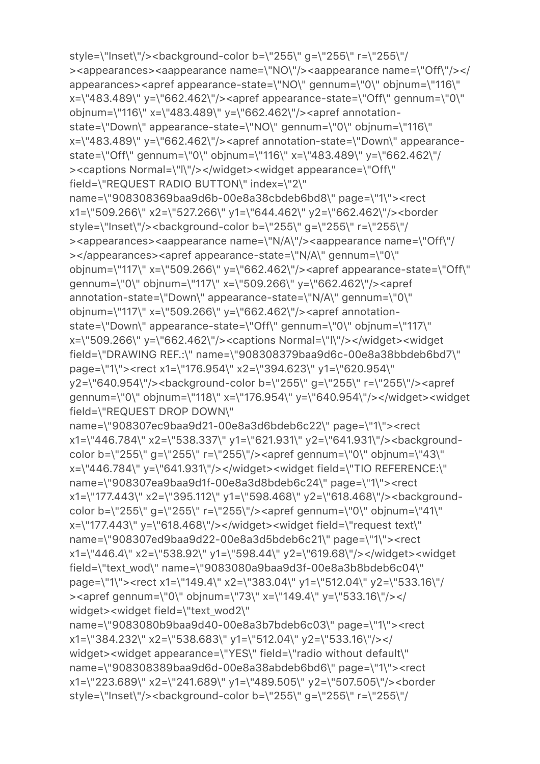style=\"Inset\"/><background-color b=\"255\" g=\"255\" r=\"255\"/ ><appearances><aappearance name=\"NO\"/><aappearance name=\"Off\"/></ appearances><apref appearance-state=\"NO\" gennum=\"0\" objnum=\"116\" x=\"483.489\" y=\"662.462\"/><apref appearance-state=\"Off\" gennum=\"0\" objnum=\"116\" x=\"483.489\" y=\"662.462\"/><apref annotationstate=\"Down\" appearance-state=\"NO\" gennum=\"0\" objnum=\"116\" x=\"483.489\" y=\"662.462\"/><apref annotation-state=\"Down\" appearancestate=\"Off\" gennum=\"0\" objnum=\"116\" x=\"483.489\" y=\"662.462\"/ ><captions Normal=\"l\"/></widget><widget appearance=\"Off\" field=\"REQUEST RADIO BUTTON\" index=\"2\" name=\"908308369baa9d6b-00e8a38cbdeb6bd8\" page=\"1\"><rect x1=\"509.266\" x2=\"527.266\" y1=\"644.462\" y2=\"662.462\"/><border style=\"Inset\"/><br/>>background-color b=\"255\" g=\"255\" r=\"255\"/ ><appearances><aappearance name=\"N/A\"/><aappearance name=\"Off\"/ ></appearances><apref appearance-state=\"N/A\" gennum=\"0\" objnum=\"117\" x=\"509.266\" y=\"662.462\"/><apref appearance-state=\"Off\" gennum=\"0\" objnum=\"117\" x=\"509.266\" y=\"662.462\"/><apref annotation-state=\"Down\" appearance-state=\"N/A\" gennum=\"0\" objnum=\"117\" x=\"509.266\" y=\"662.462\"/><apref annotationstate=\"Down\" appearance-state=\"Off\" gennum=\"0\" objnum=\"117\" x=\"509.266\" y=\"662.462\"/><captions Normal=\"l\"/></widget><widget field=\"DRAWING REF.:\" name=\"908308379baa9d6c-00e8a38bbdeb6bd7\" page=\"1\"><rect x1=\"176.954\" x2=\"394.623\" y1=\"620.954\" y2=\"640.954\"/><background-color b=\"255\" g=\"255\" r=\"255\"/><apref gennum=\"0\" objnum=\"118\" x=\"176.954\" y=\"640.954\"/></widget><widget field=\"REQUEST DROP DOWN\" name=\"908307ec9baa9d21-00e8a3d6bdeb6c22\" page=\"1\"><rect x1=\"446.784\" x2=\"538.337\" y1=\"621.931\" y2=\"641.931\"/><backgroundcolor b=\"255\" g=\"255\" r=\"255\"/><apref gennum=\"0\" objnum=\"43\" x=\"446.784\" y=\"641.931\"/></widget><widget field=\"TIO REFERENCE:\" name=\"908307ea9baa9d1f-00e8a3d8bdeb6c24\" page=\"1\"><rect x1=\"177.443\" x2=\"395.112\" y1=\"598.468\" y2=\"618.468\"/><br/>backgroundcolor b=\"255\" g=\"255\" r=\"255\"/><apref gennum=\"0\" objnum=\"41\" x=\"177.443\" y=\"618.468\"/></widget><widget field=\"request text\" name=\"908307ed9baa9d22-00e8a3d5bdeb6c21\" page=\"1\"><rect x1=\"446.4\" x2=\"538.92\" y1=\"598.44\" y2=\"619.68\"/></widget><widget field=\"text\_wod\" name=\"9083080a9baa9d3f-00e8a3b8bdeb6c04\" page=\"1\"><rect x1=\"149.4\" x2=\"383.04\" y1=\"512.04\" y2=\"533.16\"/ ><apref gennum=\"0\" objnum=\"73\" x=\"149.4\" y=\"533.16\"/></ widget><widget field=\"text wod2\" name=\"9083080b9baa9d40-00e8a3b7bdeb6c03\" page=\"1\"><rect x1=\"384.232\" x2=\"538.683\" y1=\"512.04\" y2=\"533.16\"/></ widget><widget appearance=\"YES\" field=\"radio without default\" name=\"908308389baa9d6d-00e8a38abdeb6bd6\" page=\"1\"><rect x1=\"223.689\" x2=\"241.689\" y1=\"489.505\" y2=\"507.505\"/><border

style=\"Inset\"/><background-color b=\"255\" g=\"255\" r=\"255\"/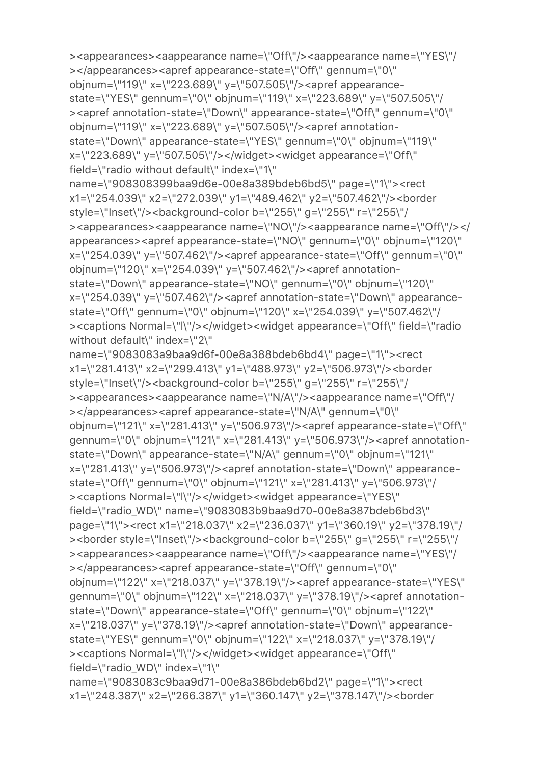```
state=\"YES\" gennum=\"0\" objnum=\"119\" x=\"223.689\" y=\"507.505\"/
><apref annotation-state=\"Down\" appearance-state=\"Off\" gennum=\"0\" 
objnum=\"119\" x=\"223.689\" y=\"507.505\"/><apref annotation-
state=\"Down\" appearance-state=\"YES\" gennum=\"0\" objnum=\"119\" 
x=\"223.689\" y=\"507.505\"/></widget><widget appearance=\"Off\" 
field=\"radio without default\" index=\"1\" 
name=\"908308399baa9d6e-00e8a389bdeb6bd5\" page=\"1\"><rect 
x1=\"254.039\" x2=\"272.039\" y1=\"489.462\" y2=\"507.462\"/><border 
style=\"Inset\"/><br/>background-color b=\"255\" g=\"255\" r=\"255\"/
><appearances><aappearance name=\"NO\"/><aappearance name=\"Off\"/></
appearances><apref appearance-state=\"NO\" gennum=\"0\" objnum=\"120\" 
x=\"254.039\" y=\"507.462\"/><apref appearance-state=\"Off\" gennum=\"0\" 
objnum=\"120\" x=\"254.039\" y=\"507.462\"/><apref annotation-
state=\"Down\" appearance-state=\"NO\" gennum=\"0\" objnum=\"120\" 
x=\"254.039\" y=\"507.462\"/><apref annotation-state=\"Down\" appearance-
state=\"Off\" gennum=\"0\" objnum=\"120\" x=\"254.039\" y=\"507.462\"/
><captions Normal=\"l\"/></widget><widget appearance=\"Off\" field=\"radio 
without default\" index=\"2\"
name=\"9083083a9baa9d6f-00e8a388bdeb6bd4\" page=\"1\"><rect 
x1=\"281.413\" x2=\"299.413\" y1=\"488.973\" y2=\"506.973\"/><border 
style=\"Inset\"/><br/>>background-color b=\"255\" g=\"255\" r=\"255\"/
><appearances><aappearance name=\"N/A\"/><aappearance name=\"Off\"/
></appearances><apref appearance-state=\"N/A\" gennum=\"0\" 
objnum=\"121\" x=\"281.413\" y=\"506.973\"/><apref appearance-state=\"Off\" 
gennum=\"0\" objnum=\"121\" x=\"281.413\" y=\"506.973\"/><apref annotation-
state=\"Down\" appearance-state=\"N/A\" gennum=\"0\" objnum=\"121\" 
x=\"281.413\" y=\"506.973\"/><apref annotation-state=\"Down\" appearance-
state=\"Off\" gennum=\"0\" objnum=\"121\" x=\"281.413\" y=\"506.973\"/
><captions Normal=\"l\"/></widget><widget appearance=\"YES\" 
field=\"radio_WD\" name=\"9083083b9baa9d70-00e8a387bdeb6bd3\" 
page=\"1\"><rect x1=\"218.037\" x2=\"236.037\" y1=\"360.19\" y2=\"378.19\"/
><border style=\"Inset\"/><background-color b=\"255\" g=\"255\" r=\"255\"/
><appearances><aappearance name=\"Off\"/><aappearance name=\"YES\"/
></appearances><apref appearance-state=\"Off\" gennum=\"0\" 
objnum=\"122\" x=\"218.037\" y=\"378.19\"/><apref appearance-state=\"YES\" 
gennum=\"0\" objnum=\"122\" x=\"218.037\" y=\"378.19\"/><apref annotation-
state=\"Down\" appearance-state=\"Off\" gennum=\"0\" objnum=\"122\" 
x=\"218.037\" y=\"378.19\"/><apref annotation-state=\"Down\" appearance-
state=\"YES\" gennum=\"0\" objnum=\"122\" x=\"218.037\" y=\"378.19\"/
><captions Normal=\"l\"/></widget><widget appearance=\"Off\" 
field=\"radio_WD\" index=\"1\" 
name=\"9083083c9baa9d71-00e8a386bdeb6bd2\" page=\"1\"><rect 
x1=\"248.387\" x2=\"266.387\" y1=\"360.147\" y2=\"378.147\"/><border
```
><appearances><aappearance name=\"Off\"/><aappearance name=\"YES\"/

></appearances><apref appearance-state=\"Off\" gennum=\"0\" objnum=\"119\" x=\"223.689\" y=\"507.505\"/><apref appearance-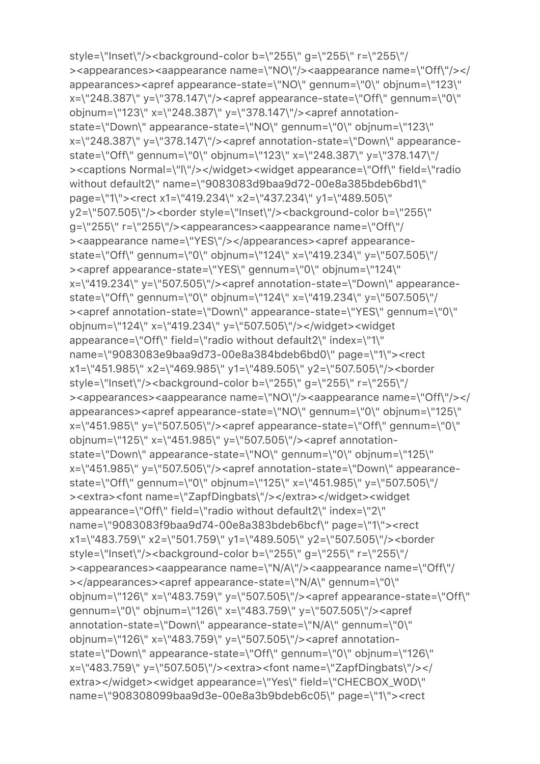style=\"Inset\"/><background-color b=\"255\" g=\"255\" r=\"255\"/ ><appearances><aappearance name=\"NO\"/><aappearance name=\"Off\"/></ appearances><apref appearance-state=\"NO\" gennum=\"0\" objnum=\"123\" x=\"248.387\" y=\"378.147\"/><apref appearance-state=\"Off\" gennum=\"0\" objnum=\"123\" x=\"248.387\" y=\"378.147\"/><apref annotationstate=\"Down\" appearance-state=\"NO\" gennum=\"0\" objnum=\"123\" x=\"248.387\" y=\"378.147\"/><apref annotation-state=\"Down\" appearancestate=\"Off\" gennum=\"0\" objnum=\"123\" x=\"248.387\" y=\"378.147\"/ ><captions Normal=\"l\"/></widget><widget appearance=\"Off\" field=\"radio without default2\" name=\"9083083d9baa9d72-00e8a385bdeb6bd1\" page=\"1\"><rect x1=\"419.234\" x2=\"437.234\" y1=\"489.505\" y2=\"507.505\"/><border style=\"Inset\"/><br/>background-color b=\"255\" g=\"255\" r=\"255\"/><appearances><aappearance name=\"Off\"/ ><aappearance name=\"YES\"/></appearances><apref appearancestate=\"Off\" gennum=\"0\" objnum=\"124\" x=\"419.234\" y=\"507.505\"/ ><apref appearance-state=\"YES\" gennum=\"0\" objnum=\"124\" x=\"419.234\" y=\"507.505\"/><apref annotation-state=\"Down\" appearancestate=\"Off\" gennum=\"0\" objnum=\"124\" x=\"419.234\" y=\"507.505\"/ ><apref annotation-state=\"Down\" appearance-state=\"YES\" gennum=\"0\" objnum=\"124\" x=\"419.234\" y=\"507.505\"/></widget><widget appearance=\"Off\" field=\"radio without default2\" index=\"1\" name=\"9083083e9baa9d73-00e8a384bdeb6bd0\" page=\"1\"><rect x1=\"451.985\" x2=\"469.985\" y1=\"489.505\" y2=\"507.505\"/><border style=\"Inset\"/><br/>background-color b=\"255\" g=\"255\" r=\"255\"/ ><appearances><aappearance name=\"NO\"/><aappearance name=\"Off\"/></ appearances><apref appearance-state=\"NO\" gennum=\"0\" objnum=\"125\" x=\"451.985\" y=\"507.505\"/><apref appearance-state=\"Off\" gennum=\"0\" objnum=\"125\" x=\"451.985\" y=\"507.505\"/><apref annotationstate=\"Down\" appearance-state=\"NO\" gennum=\"0\" objnum=\"125\" x=\"451.985\" y=\"507.505\"/><apref annotation-state=\"Down\" appearancestate=\"Off\" gennum=\"0\" objnum=\"125\" x=\"451.985\" y=\"507.505\"/ ><extra><font name=\"ZapfDingbats\"/></extra></widget><widget appearance=\"Off\" field=\"radio without default2\" index=\"2\" name=\"9083083f9baa9d74-00e8a383bdeb6bcf\" page=\"1\"><rect x1=\"483.759\" x2=\"501.759\" y1=\"489.505\" y2=\"507.505\"/><border style=\"Inset\"/><br/>>background-color b=\"255\" g=\"255\" r=\"255\"/ ><appearances><aappearance name=\"N/A\"/><aappearance name=\"Off\"/ ></appearances><apref appearance-state=\"N/A\" gennum=\"0\" objnum=\"126\" x=\"483.759\" y=\"507.505\"/><apref appearance-state=\"Off\" gennum=\"0\" objnum=\"126\" x=\"483.759\" y=\"507.505\"/><apref annotation-state=\"Down\" appearance-state=\"N/A\" gennum=\"0\" objnum=\"126\" x=\"483.759\" y=\"507.505\"/><apref annotationstate=\"Down\" appearance-state=\"Off\" gennum=\"0\" objnum=\"126\" x=\"483.759\" y=\"507.505\"/><extra><font name=\"ZapfDingbats\"/></ extra></widget><widget appearance=\"Yes\" field=\"CHECBOX\_W0D\" name=\"908308099baa9d3e-00e8a3b9bdeb6c05\" page=\"1\"><rect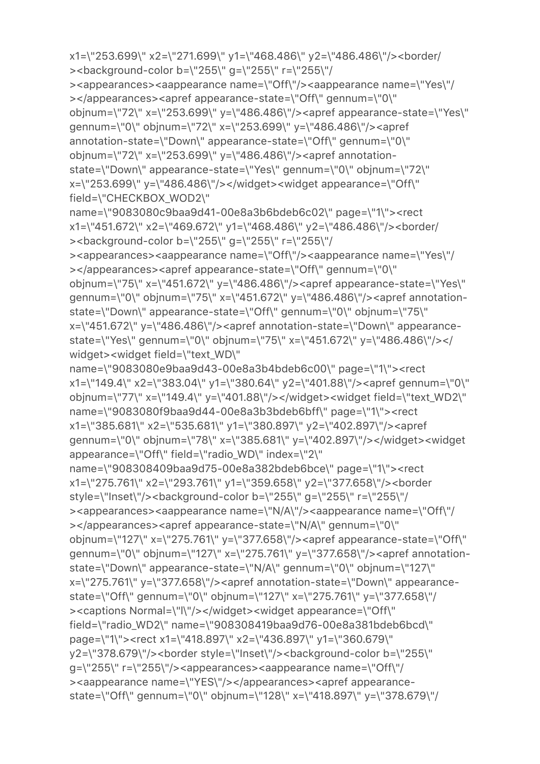><br />background-color b=\"255\" g=\"255\" r=\"255\"/ ><appearances><aappearance name=\"Off\"/><aappearance name=\"Yes\"/ ></appearances><apref appearance-state=\"Off\" gennum=\"0\" objnum=\"72\" x=\"253.699\" y=\"486.486\"/><apref appearance-state=\"Yes\" gennum=\"0\" objnum=\"72\" x=\"253.699\" y=\"486.486\"/><apref annotation-state=\"Down\" appearance-state=\"Off\" gennum=\"0\" objnum=\"72\" x=\"253.699\" y=\"486.486\"/><apref annotationstate=\"Down\" appearance-state=\"Yes\" gennum=\"0\" objnum=\"72\" x=\"253.699\" y=\"486.486\"/></widget><widget appearance=\"Off\" field=\"CHECKBOX\_WOD2\" name=\"9083080c9baa9d41-00e8a3b6bdeb6c02\" page=\"1\"><rect x1=\"451.672\" x2=\"469.672\" y1=\"468.486\" y2=\"486.486\"/><border/ ><background-color b=\"255\" g=\"255\" r=\"255\"/ ><appearances><aappearance name=\"Off\"/><aappearance name=\"Yes\"/ ></appearances><apref appearance-state=\"Off\" gennum=\"0\" objnum=\"75\" x=\"451.672\" y=\"486.486\"/><apref appearance-state=\"Yes\" gennum=\"0\" objnum=\"75\" x=\"451.672\" y=\"486.486\"/><apref annotationstate=\"Down\" appearance-state=\"Off\" gennum=\"0\" objnum=\"75\" x=\"451.672\" y=\"486.486\"/><apref annotation-state=\"Down\" appearancestate=\"Yes\" gennum=\"0\" objnum=\"75\" x=\"451.672\" y=\"486.486\"/></ widget><widget field=\"text\_WD\" name=\"9083080e9baa9d43-00e8a3b4bdeb6c00\" page=\"1\"><rect x1=\"149.4\" x2=\"383.04\" y1=\"380.64\" y2=\"401.88\"/><apref gennum=\"0\" objnum=\"77\" x=\"149.4\" y=\"401.88\"/></widget><widget field=\"text\_WD2\" name=\"9083080f9baa9d44-00e8a3b3bdeb6bff\" page=\"1\"><rect x1=\"385.681\" x2=\"535.681\" y1=\"380.897\" y2=\"402.897\"/><apref gennum=\"0\" objnum=\"78\" x=\"385.681\" y=\"402.897\"/></widget><widget appearance=\"Off\" field=\"radio\_WD\" index=\"2\" name=\"908308409baa9d75-00e8a382bdeb6bce\" page=\"1\"><rect x1=\"275.761\" x2=\"293.761\" y1=\"359.658\" y2=\"377.658\"/><border style=\"Inset\"/><background-color b=\"255\" g=\"255\" r=\"255\"/ ><appearances><aappearance name=\"N/A\"/><aappearance name=\"Off\"/ ></appearances><apref appearance-state=\"N/A\" gennum=\"0\" objnum=\"127\" x=\"275.761\" y=\"377.658\"/><apref appearance-state=\"Off\" gennum=\"0\" objnum=\"127\" x=\"275.761\" y=\"377.658\"/><apref annotationstate=\"Down\" appearance-state=\"N/A\" gennum=\"0\" objnum=\"127\" x=\"275.761\" y=\"377.658\"/><apref annotation-state=\"Down\" appearancestate=\"Off\" gennum=\"0\" objnum=\"127\" x=\"275.761\" y=\"377.658\"/ ><captions Normal=\"l\"/></widget><widget appearance=\"Off\" field=\"radio\_WD2\" name=\"908308419baa9d76-00e8a381bdeb6bcd\" page=\"1\"><rect x1=\"418.897\" x2=\"436.897\" y1=\"360.679\" y2=\"378.679\"/><border style=\"Inset\"/><background-color b=\"255\" g=\"255\" r=\"255\"/><appearances><aappearance name=\"Off\"/ ><aappearance name=\"YES\"/></appearances><apref appearancestate=\"Off\" gennum=\"0\" objnum=\"128\" x=\"418.897\" y=\"378.679\"/

x1=\"253.699\" x2=\"271.699\" y1=\"468.486\" y2=\"486.486\"/><border/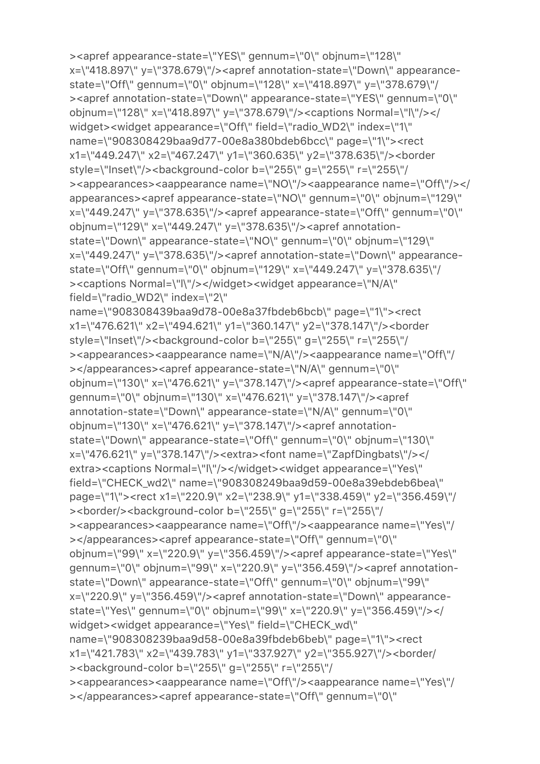```
><apref appearance-state=\"YES\" gennum=\"0\" objnum=\"128\" 
x=\"418.897\" y=\"378.679\"/><apref annotation-state=\"Down\" appearance-
state=\"Off\" gennum=\"0\" objnum=\"128\" x=\"418.897\" y=\"378.679\"/
><apref annotation-state=\"Down\" appearance-state=\"YES\" gennum=\"0\" 
objnum=\"128\" x=\"418.897\" y=\"378.679\"/><captions Normal=\"l\"/></
widget><widget appearance=\"Off\" field=\"radio_WD2\" index=\"1\" 
name=\"908308429baa9d77-00e8a380bdeb6bcc\" page=\"1\"><rect 
x1=\"449.247\" x2=\"467.247\" y1=\"360.635\" y2=\"378.635\"/><border 
style=\"Inset\"/><br/>background-color b=\"255\" g=\"255\" r=\"255\"/
><appearances><aappearance name=\"NO\"/><aappearance name=\"Off\"/></
appearances><apref appearance-state=\"NO\" gennum=\"0\" objnum=\"129\" 
x=\"449.247\" y=\"378.635\"/><apref appearance-state=\"Off\" gennum=\"0\" 
objnum=\"129\" x=\"449.247\" y=\"378.635\"/><apref annotation-
state=\"Down\" appearance-state=\"NO\" gennum=\"0\" objnum=\"129\" 
x=\"449.247\" y=\"378.635\"/><apref annotation-state=\"Down\" appearance-
state=\"Off\" gennum=\"0\" objnum=\"129\" x=\"449.247\" y=\"378.635\"/
><captions Normal=\"l\"/></widget><widget appearance=\"N/A\" 
field=\"radio_WD2\" index=\"2\" 
name=\"908308439baa9d78-00e8a37fbdeb6bcb\" page=\"1\"><rect 
x1=\"476.621\" x2=\"494.621\" y1=\"360.147\" y2=\"378.147\"/><border 
style=\"Inset\"/><br/>background-color b=\"255\" g=\"255\" r=\"255\"/
><appearances><aappearance name=\"N/A\"/><aappearance name=\"Off\"/
></appearances><apref appearance-state=\"N/A\" gennum=\"0\" 
objnum=\"130\" x=\"476.621\" y=\"378.147\"/><apref appearance-state=\"Off\" 
gennum=\"0\" objnum=\"130\" x=\"476.621\" y=\"378.147\"/><apref 
annotation-state=\"Down\" appearance-state=\"N/A\" gennum=\"0\" 
objnum=\"130\" x=\"476.621\" y=\"378.147\"/><apref annotation-
state=\"Down\" appearance-state=\"Off\" gennum=\"0\" objnum=\"130\" 
x=\"476.621\" y=\"378.147\"/><extra><font name=\"ZapfDingbats\"/></
extra><captions Normal=\"l\"/></widget><widget appearance=\"Yes\" 
field=\"CHECK_wd2\" name=\"908308249baa9d59-00e8a39ebdeb6bea\" 
page=\"1\"><rect x1=\"220.9\" x2=\"238.9\" y1=\"338.459\" y2=\"356.459\"/
><border/><background-color b=\"255\" q=\"255\" r=\"255\"/
><appearances><aappearance name=\"Off\"/><aappearance name=\"Yes\"/
></appearances><apref appearance-state=\"Off\" gennum=\"0\" 
objnum=\"99\" x=\"220.9\" y=\"356.459\"/><apref appearance-state=\"Yes\" 
gennum=\"0\" objnum=\"99\" x=\"220.9\" y=\"356.459\"/><apref annotation-
state=\"Down\" appearance-state=\"Off\" gennum=\"0\" objnum=\"99\" 
x=\"220.9\" y=\"356.459\"/><apref annotation-state=\"Down\" appearance-
state=\"Yes\" gennum=\"0\" objnum=\"99\" x=\"220.9\" y=\"356.459\"/></
widget><widget appearance=\"Yes\" field=\"CHECK_wd\" 
name=\"908308239baa9d58-00e8a39fbdeb6beb\" page=\"1\"><rect 
x1=\"421.783\" x2=\"439.783\" y1=\"337.927\" y2=\"355.927\"/><border/
><br />background-color b=\"255\" g=\"255\" r=\"255\"/
><appearances><aappearance name=\"Off\"/><aappearance name=\"Yes\"/
></appearances><apref appearance-state=\"Off\" gennum=\"0\"
```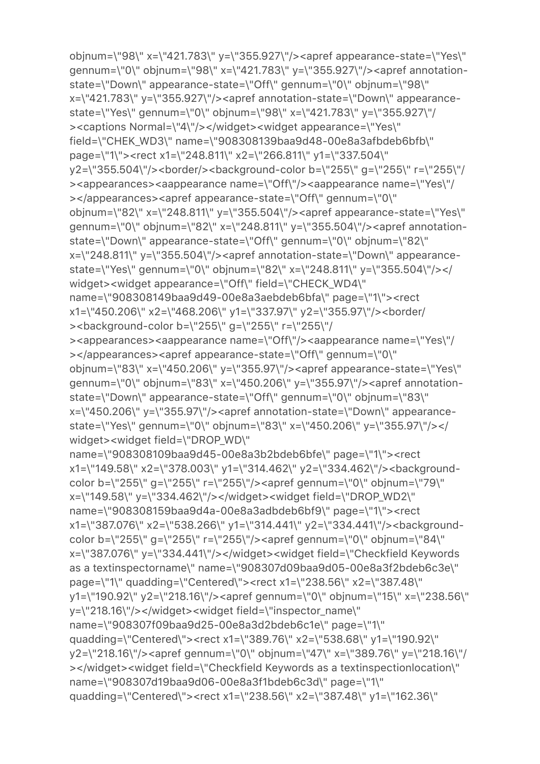```
objnum=\"98\" x=\"421.783\" y=\"355.927\"/><apref appearance-state=\"Yes\" 
gennum=\"0\" objnum=\"98\" x=\"421.783\" y=\"355.927\"/><apref annotation-
state=\"Down\" appearance-state=\"Off\" gennum=\"0\" objnum=\"98\" 
x=\"421.783\" y=\"355.927\"/><apref annotation-state=\"Down\" appearance-
state=\"Yes\" gennum=\"0\" objnum=\"98\" x=\"421.783\" y=\"355.927\"/
><captions Normal=\"4\"/></widget><widget appearance=\"Yes\" 
field=\"CHEK_WD3\" name=\"908308139baa9d48-00e8a3afbdeb6bfb\" 
page=\"1\"><rect x1=\"248.811\" x2=\"266.811\" y1=\"337.504\" 
y2=\"355.504\"/><border/><background-color b=\"255\" g=\"255\" r=\"255\"/
><appearances><aappearance name=\"Off\"/><aappearance name=\"Yes\"/
></appearances><apref appearance-state=\"Off\" gennum=\"0\" 
objnum=\"82\" x=\"248.811\" y=\"355.504\"/><apref appearance-state=\"Yes\" 
gennum=\"0\" objnum=\"82\" x=\"248.811\" y=\"355.504\"/><apref annotation-
state=\"Down\" appearance-state=\"Off\" gennum=\"0\" objnum=\"82\" 
x=\"248.811\" y=\"355.504\"/><apref annotation-state=\"Down\" appearance-
state=\"Yes\" gennum=\"0\" objnum=\"82\" x=\"248.811\" y=\"355.504\"/></
widget><widget appearance=\"Off\" field=\"CHECK_WD4\" 
name=\"908308149baa9d49-00e8a3aebdeb6bfa\" page=\"1\"><rect 
x1=\"450.206\" x2=\"468.206\" y1=\"337.97\" y2=\"355.97\"/><border/
><br />background-color b=\"255\" g=\"255\" r=\"255\"/
><appearances><aappearance name=\"Off\"/><aappearance name=\"Yes\"/
></appearances><apref appearance-state=\"Off\" gennum=\"0\" 
objnum=\"83\" x=\"450.206\" y=\"355.97\"/><apref appearance-state=\"Yes\" 
gennum=\"0\" objnum=\"83\" x=\"450.206\" y=\"355.97\"/><apref annotation-
state=\"Down\" appearance-state=\"Off\" gennum=\"0\" objnum=\"83\" 
x=\"450.206\" y=\"355.97\"/><apref annotation-state=\"Down\" appearance-
state=\"Yes\" gennum=\"0\" objnum=\"83\" x=\"450.206\" y=\"355.97\"/></
widget><widget field=\"DROP_WD\" 
name=\"908308109baa9d45-00e8a3b2bdeb6bfe\" page=\"1\"><rect 
x1=\"149.58\" x2=\"378.003\" y1=\"314.462\" y2=\"334.462\"/><background-
color b=\"255\" g=\"255\" r=\"255\"/><apref gennum=\"0\" objnum=\"79\" 
x=\"149.58\" y=\"334.462\"/></widget><widget field=\"DROP_WD2\" 
name=\"908308159baa9d4a-00e8a3adbdeb6bf9\" page=\"1\"><rect 
x1=\"387.076\" x2=\"538.266\" y1=\"314.441\" y2=\"334.441\"/><background-
color b=\"255\" g=\"255\" r=\"255\"/><apref gennum=\"0\" objnum=\"84\" 
x=\"387.076\" y=\"334.441\"/></widget><widget field=\"Checkfield Keywords 
as a textinspectorname\" name=\"908307d09baa9d05-00e8a3f2bdeb6c3e\" 
page=\"1\" quadding=\"Centered\"><rect x1=\"238.56\" x2=\"387.48\" 
y1=\"190.92\" y2=\"218.16\"/><apref gennum=\"0\" objnum=\"15\" x=\"238.56\" 
y=\"218.16\"/></widget><widget field=\"inspector_name\" 
name=\"908307f09baa9d25-00e8a3d2bdeb6c1e\" page=\"1\" 
quadding=\"Centered\"><rect x1=\"389.76\" x2=\"538.68\" y1=\"190.92\" 
y2=\"218.16\"/><apref gennum=\"0\" objnum=\"47\" x=\"389.76\" y=\"218.16\"/
></widget><widget field=\"Checkfield Keywords as a textinspectionlocation\" 
name=\"908307d19baa9d06-00e8a3f1bdeb6c3d\" page=\"1\" 
quadding=\"Centered\"><rect x1=\"238.56\" x2=\"387.48\" y1=\"162.36\"
```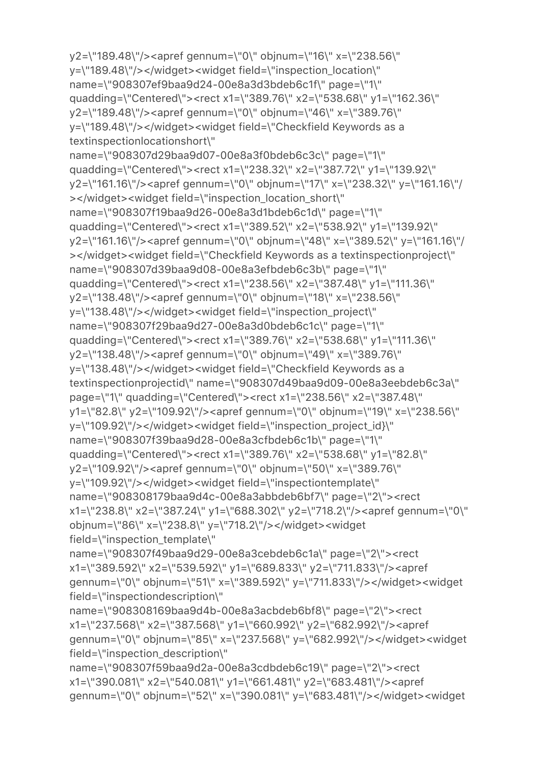```
y2=\"189.48\"/><apref gennum=\"0\" objnum=\"16\" x=\"238.56\" 
y=\"189.48\"/></widget><widget field=\"inspection_location\" 
name=\"908307ef9baa9d24-00e8a3d3bdeb6c1f\" page=\"1\" 
quadding=\"Centered\"><rect x1=\"389.76\" x2=\"538.68\" y1=\"162.36\" 
y2=\"189.48\"/><apref gennum=\"0\" objnum=\"46\" x=\"389.76\" 
y=\"189.48\"/></widget><widget field=\"Checkfield Keywords as a 
textinspectionlocationshort\" 
name=\"908307d29baa9d07-00e8a3f0bdeb6c3c\" page=\"1\" 
quadding=\"Centered\"><rect x1=\"238.32\" x2=\"387.72\" y1=\"139.92\" 
y2=\"161.16\"/><apref gennum=\"0\" objnum=\"17\" x=\"238.32\" y=\"161.16\"/
></widget><widget field=\"inspection_location_short\" 
name=\"908307f19baa9d26-00e8a3d1bdeb6c1d\" page=\"1\" 
quadding=\"Centered\"><rect x1=\"389.52\" x2=\"538.92\" y1=\"139.92\" 
y2=\"161.16\"/><apref gennum=\"0\" objnum=\"48\" x=\"389.52\" y=\"161.16\"/
></widget><widget field=\"Checkfield Keywords as a textinspectionproject\" 
name=\"908307d39baa9d08-00e8a3efbdeb6c3b\" page=\"1\" 
quadding=\"Centered\"><rect x1=\"238.56\" x2=\"387.48\" y1=\"111.36\" 
y2=\"138.48\"/><apref gennum=\"0\" objnum=\"18\" x=\"238.56\" 
y=\"138.48\"/></widget><widget field=\"inspection_project\" 
name=\"908307f29baa9d27-00e8a3d0bdeb6c1c\" page=\"1\" 
quadding=\"Centered\"><rect x1=\"389.76\" x2=\"538.68\" y1=\"111.36\" 
y2=\"138.48\"/><apref gennum=\"0\" objnum=\"49\" x=\"389.76\" 
y=\"138.48\"/></widget><widget field=\"Checkfield Keywords as a 
textinspectionprojectid\" name=\"908307d49baa9d09-00e8a3eebdeb6c3a\" 
page=\"1\" quadding=\"Centered\"><rect x1=\"238.56\" x2=\"387.48\" 
y1=\"82.8\" y2=\"109.92\"/><apref gennum=\"0\" objnum=\"19\" x=\"238.56\" 
y=\"109.92\"/></widget><widget field=\"inspection_project_id}\" 
name=\"908307f39baa9d28-00e8a3cfbdeb6c1b\" page=\"1\" 
quadding=\"Centered\"><rect x1=\"389.76\" x2=\"538.68\" y1=\"82.8\" 
y2=\"109.92\"/><apref gennum=\"0\" objnum=\"50\" x=\"389.76\" 
y=\"109.92\"/></widget><widget field=\"inspectiontemplate\" 
name=\"908308179baa9d4c-00e8a3abbdeb6bf7\" page=\"2\"><rect 
x1=\"238.8\" x2=\"387.24\" y1=\"688.302\" y2=\"718.2\"/><apref gennum=\"0\" 
objnum=\"86\" x=\"238.8\" y=\"718.2\"/></widget><widget 
field=\"inspection_template\" 
name=\"908307f49baa9d29-00e8a3cebdeb6c1a\" page=\"2\"><rect 
x1=\"389.592\" x2=\"539.592\" y1=\"689.833\" y2=\"711.833\"/><apref 
gennum=\"0\" objnum=\"51\" x=\"389.592\" y=\"711.833\"/></widget><widget 
field=\"inspectiondescription\" 
name=\"908308169baa9d4b-00e8a3acbdeb6bf8\" page=\"2\"><rect 
x1=\"237.568\" x2=\"387.568\" y1=\"660.992\" y2=\"682.992\"/><apref 
gennum=\"0\" objnum=\"85\" x=\"237.568\" y=\"682.992\"/></widget><widget 
field=\"inspection_description\" 
name=\"908307f59baa9d2a-00e8a3cdbdeb6c19\" page=\"2\"><rect 
x1=\"390.081\" x2=\"540.081\" y1=\"661.481\" y2=\"683.481\"/><apref 
gennum=\"0\" objnum=\"52\" x=\"390.081\" y=\"683.481\"/></widget><widget
```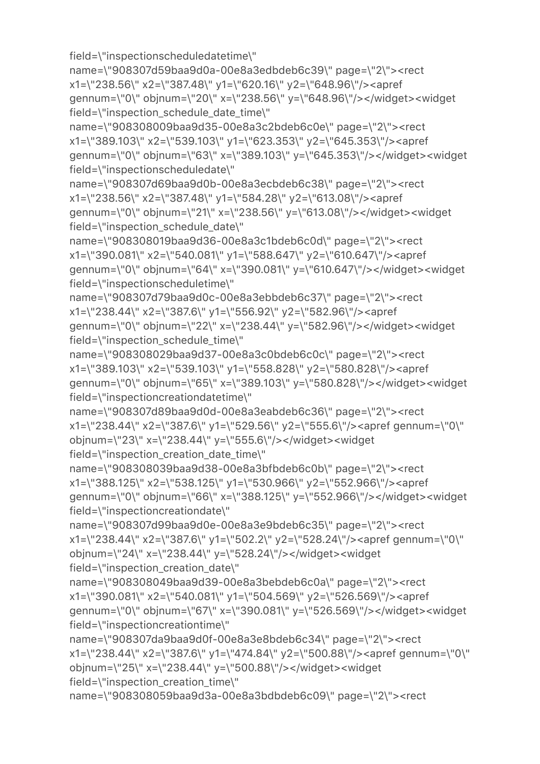```
name=\"908307d59baa9d0a-00e8a3edbdeb6c39\" page=\"2\"><rect 
x1=\"238.56\" x2=\"387.48\" y1=\"620.16\" y2=\"648.96\"/><apref 
gennum=\"0\" objnum=\"20\" x=\"238.56\" y=\"648.96\"/></widget><widget 
field=\"inspection_schedule_date_time\" 
name=\"908308009baa9d35-00e8a3c2bdeb6c0e\" page=\"2\"><rect 
x1=\"389.103\" x2=\"539.103\" y1=\"623.353\" y2=\"645.353\"/><apref 
gennum=\"0\" objnum=\"63\" x=\"389.103\" y=\"645.353\"/></widget><widget 
field=\"inspectionscheduledate\" 
name=\"908307d69baa9d0b-00e8a3ecbdeb6c38\" page=\"2\"><rect 
x1=\"238.56\" x2=\"387.48\" y1=\"584.28\" y2=\"613.08\"/><apref 
gennum=\"0\" objnum=\"21\" x=\"238.56\" y=\"613.08\"/></widget><widget 
field=\"inspection_schedule_date\" 
name=\"908308019baa9d36-00e8a3c1bdeb6c0d\" page=\"2\"><rect 
x1=\"390.081\" x2=\"540.081\" y1=\"588.647\" y2=\"610.647\"/><apref 
gennum=\"0\" objnum=\"64\" x=\"390.081\" y=\"610.647\"/></widget><widget 
field=\"inspectionscheduletime\" 
name=\"908307d79baa9d0c-00e8a3ebbdeb6c37\" page=\"2\"><rect 
x1=\"238.44\" x2=\"387.6\" y1=\"556.92\" y2=\"582.96\"/><apref 
gennum=\"0\" objnum=\"22\" x=\"238.44\" y=\"582.96\"/></widget><widget 
field=\"inspection_schedule_time\" 
name=\"908308029baa9d37-00e8a3c0bdeb6c0c\" page=\"2\"><rect 
x1=\"389.103\" x2=\"539.103\" y1=\"558.828\" y2=\"580.828\"/><apref 
gennum=\"0\" objnum=\"65\" x=\"389.103\" y=\"580.828\"/></widget><widget 
field=\"inspectioncreationdatetime\" 
name=\"908307d89baa9d0d-00e8a3eabdeb6c36\" page=\"2\"><rect 
x1=\"238.44\" x2=\"387.6\" y1=\"529.56\" y2=\"555.6\"/><apref gennum=\"0\" 
objnum=\"23\" x=\"238.44\" y=\"555.6\"/></widget><widget 
field=\"inspection_creation_date_time\" 
name=\"908308039baa9d38-00e8a3bfbdeb6c0b\" page=\"2\"><rect 
x1=\"388.125\" x2=\"538.125\" y1=\"530.966\" y2=\"552.966\"/><apref 
gennum=\"0\" objnum=\"66\" x=\"388.125\" y=\"552.966\"/></widget><widget 
field=\"inspectioncreationdate\" 
name=\"908307d99baa9d0e-00e8a3e9bdeb6c35\" page=\"2\"><rect 
x1=\"238.44\" x2=\"387.6\" y1=\"502.2\" y2=\"528.24\"/><apref gennum=\"0\" 
objnum=\"24\" x=\"238.44\" y=\"528.24\"/></widget><widget 
field=\"inspection_creation_date\" 
name=\"908308049baa9d39-00e8a3bebdeb6c0a\" page=\"2\"><rect 
x1=\"390.081\" x2=\"540.081\" y1=\"504.569\" y2=\"526.569\"/><apref 
gennum=\"0\" objnum=\"67\" x=\"390.081\" y=\"526.569\"/></widget><widget 
field=\"inspectioncreationtime\" 
name=\"908307da9baa9d0f-00e8a3e8bdeb6c34\" page=\"2\"><rect 
x1=\"238.44\" x2=\"387.6\" y1=\"474.84\" y2=\"500.88\"/><apref gennum=\"0\" 
objnum=\"25\" x=\"238.44\" y=\"500.88\"/></widget><widget 
field=\"inspection_creation_time\"
name=\"908308059baa9d3a-00e8a3bdbdeb6c09\" page=\"2\"><rect
```
field=\"inspectionscheduledatetime\"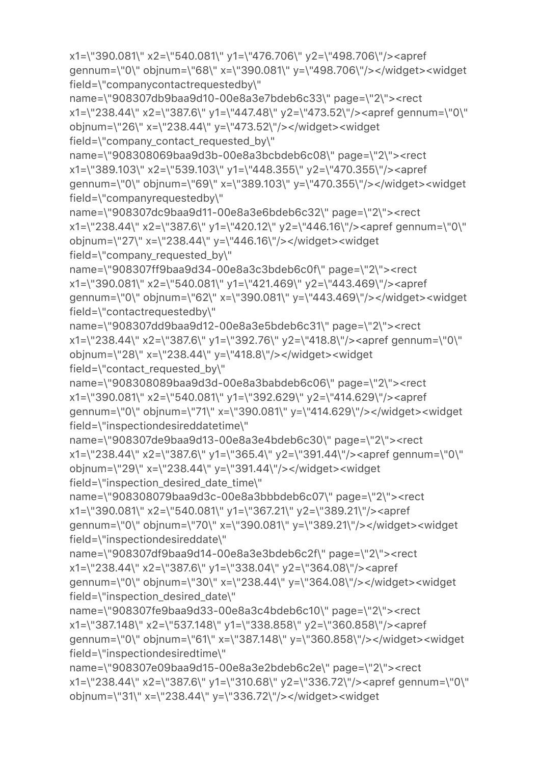```
x1=\"390.081\" x2=\"540.081\" y1=\"476.706\" y2=\"498.706\"/><apref 
gennum=\"0\" objnum=\"68\" x=\"390.081\" y=\"498.706\"/></widget><widget 
field=\"companycontactrequestedby\" 
name=\"908307db9baa9d10-00e8a3e7bdeb6c33\" page=\"2\"><rect 
x1=\"238.44\" x2=\"387.6\" y1=\"447.48\" y2=\"473.52\"/><apref gennum=\"0\" 
objnum=\"26\" x=\"238.44\" y=\"473.52\"/></widget><widget 
field=\"company_contact_requested_by\" 
name=\"908308069baa9d3b-00e8a3bcbdeb6c08\" page=\"2\"><rect 
x1=\"389.103\" x2=\"539.103\" y1=\"448.355\" y2=\"470.355\"/><apref 
gennum=\"0\" objnum=\"69\" x=\"389.103\" y=\"470.355\"/></widget><widget 
field=\"companyrequestedby\" 
name=\"908307dc9baa9d11-00e8a3e6bdeb6c32\" page=\"2\"><rect 
x1=\"238.44\" x2=\"387.6\" y1=\"420.12\" y2=\"446.16\"/><apref gennum=\"0\" 
objnum=\"27\" x=\"238.44\" y=\"446.16\"/></widget><widget 
field=\"company_requested_by\" 
name=\"908307ff9baa9d34-00e8a3c3bdeb6c0f\" page=\"2\"><rect 
x1=\"390.081\" x2=\"540.081\" y1=\"421.469\" y2=\"443.469\"/><apref 
gennum=\"0\" objnum=\"62\" x=\"390.081\" y=\"443.469\"/></widget><widget 
field=\"contactrequestedby\" 
name=\"908307dd9baa9d12-00e8a3e5bdeb6c31\" page=\"2\"><rect 
x1=\"238.44\" x2=\"387.6\" y1=\"392.76\" y2=\"418.8\"/><apref gennum=\"0\" 
objnum=\"28\" x=\"238.44\" y=\"418.8\"/></widget><widget 
field=\"contact_requested_by\" 
name=\"908308089baa9d3d-00e8a3babdeb6c06\" page=\"2\"><rect 
x1=\"390.081\" x2=\"540.081\" y1=\"392.629\" y2=\"414.629\"/><apref 
gennum=\"0\" objnum=\"71\" x=\"390.081\" y=\"414.629\"/></widget><widget 
field=\"inspectiondesireddatetime\" 
name=\"908307de9baa9d13-00e8a3e4bdeb6c30\" page=\"2\"><rect 
x1=\"238.44\" x2=\"387.6\" y1=\"365.4\" y2=\"391.44\"/><apref gennum=\"0\" 
objnum=\"29\" x=\"238.44\" y=\"391.44\"/></widget><widget 
field=\"inspection_desired_date_time\"
name=\"908308079baa9d3c-00e8a3bbbdeb6c07\" page=\"2\"><rect 
x1=\"390.081\" x2=\"540.081\" y1=\"367.21\" y2=\"389.21\"/><apref 
gennum=\"0\" objnum=\"70\" x=\"390.081\" y=\"389.21\"/></widget><widget 
field=\"inspectiondesireddate\" 
name=\"908307df9baa9d14-00e8a3e3bdeb6c2f\" page=\"2\"><rect 
x1=\"238.44\" x2=\"387.6\" y1=\"338.04\" y2=\"364.08\"/><apref 
gennum=\"0\" objnum=\"30\" x=\"238.44\" y=\"364.08\"/></widget><widget 
field=\"inspection_desired_date\" 
name=\"908307fe9baa9d33-00e8a3c4bdeb6c10\" page=\"2\"><rect 
x1=\"387.148\" x2=\"537.148\" y1=\"338.858\" y2=\"360.858\"/><apref 
gennum=\"0\" objnum=\"61\" x=\"387.148\" y=\"360.858\"/></widget><widget 
field=\"inspectiondesiredtime\" 
name=\"908307e09baa9d15-00e8a3e2bdeb6c2e\" page=\"2\"><rect 
x1=\"238.44\" x2=\"387.6\" y1=\"310.68\" y2=\"336.72\"/><apref gennum=\"0\" 
objnum=\"31\" x=\"238.44\" y=\"336.72\"/></widget><widget
```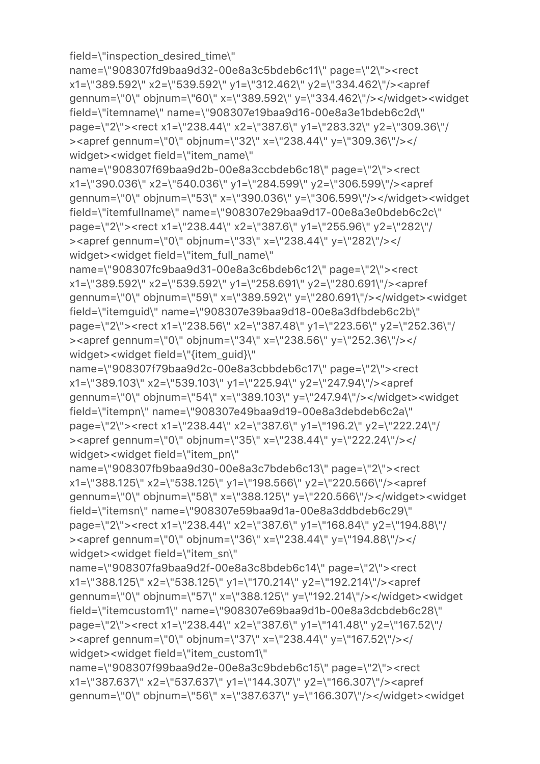gennum=\"0\" objnum=\"53\" x=\"390.036\" y=\"306.599\"/></widget><widget field=\"itemfullname\" name=\"908307e29baa9d17-00e8a3e0bdeb6c2c\" page=\"2\"><rect x1=\"238.44\" x2=\"387.6\" y1=\"255.96\" y2=\"282\"/ ><apref gennum=\"0\" objnum=\"33\" x=\"238.44\" y=\"282\"/></ widget><widget field=\"item\_full\_name\" name=\"908307fc9baa9d31-00e8a3c6bdeb6c12\" page=\"2\"><rect x1=\"389.592\" x2=\"539.592\" y1=\"258.691\" y2=\"280.691\"/><apref gennum=\"0\" objnum=\"59\" x=\"389.592\" y=\"280.691\"/></widget><widget field=\"itemguid\" name=\"908307e39baa9d18-00e8a3dfbdeb6c2b\" page=\"2\"><rect x1=\"238.56\" x2=\"387.48\" y1=\"223.56\" y2=\"252.36\"/ ><apref gennum=\"0\" objnum=\"34\" x=\"238.56\" y=\"252.36\"/></ widget><widget field=\"{item\_guid}\" name=\"908307f79baa9d2c-00e8a3cbbdeb6c17\" page=\"2\"><rect x1=\"389.103\" x2=\"539.103\" y1=\"225.94\" y2=\"247.94\"/><apref gennum=\"0\" objnum=\"54\" x=\"389.103\" y=\"247.94\"/></widget><widget field=\"itempn\" name=\"908307e49baa9d19-00e8a3debdeb6c2a\" page=\"2\"><rect x1=\"238.44\" x2=\"387.6\" y1=\"196.2\" y2=\"222.24\"/ ><apref gennum=\"0\" objnum=\"35\" x=\"238.44\" y=\"222.24\"/></ widget><widget field=\"item\_pn\" name=\"908307fb9baa9d30-00e8a3c7bdeb6c13\" page=\"2\"><rect x1=\"388.125\" x2=\"538.125\" y1=\"198.566\" y2=\"220.566\"/><apref gennum=\"0\" objnum=\"58\" x=\"388.125\" y=\"220.566\"/></widget><widget field=\"itemsn\" name=\"908307e59baa9d1a-00e8a3ddbdeb6c29\" page=\"2\"><rect x1=\"238.44\" x2=\"387.6\" y1=\"168.84\" y2=\"194.88\"/ ><apref gennum=\"0\" objnum=\"36\" x=\"238.44\" y=\"194.88\"/></ widget><widget field=\"item\_sn\" name=\"908307fa9baa9d2f-00e8a3c8bdeb6c14\" page=\"2\"><rect x1=\"388.125\" x2=\"538.125\" y1=\"170.214\" y2=\"192.214\"/><apref gennum=\"0\" objnum=\"57\" x=\"388.125\" y=\"192.214\"/></widget><widget field=\"itemcustom1\" name=\"908307e69baa9d1b-00e8a3dcbdeb6c28\" page=\"2\"><rect x1=\"238.44\" x2=\"387.6\" y1=\"141.48\" y2=\"167.52\"/ ><apref gennum=\"0\" objnum=\"37\" x=\"238.44\" y=\"167.52\"/></ widget><widget field=\"item\_custom1\" name=\"908307f99baa9d2e-00e8a3c9bdeb6c15\" page=\"2\"><rect x1=\"387.637\" x2=\"537.637\" y1=\"144.307\" y2=\"166.307\"/><apref gennum=\"0\" objnum=\"56\" x=\"387.637\" y=\"166.307\"/></widget><widget

field=\"inspection\_desired\_time\" name=\"908307fd9baa9d32-00e8a3c5bdeb6c11\" page=\"2\"><rect x1=\"389.592\" x2=\"539.592\" y1=\"312.462\" y2=\"334.462\"/><apref gennum=\"0\" objnum=\"60\" x=\"389.592\" y=\"334.462\"/></widget><widget field=\"itemname\" name=\"908307e19baa9d16-00e8a3e1bdeb6c2d\" page=\"2\"><rect x1=\"238.44\" x2=\"387.6\" y1=\"283.32\" y2=\"309.36\"/ ><apref gennum=\"0\" objnum=\"32\" x=\"238.44\" y=\"309.36\"/></

name=\"908307f69baa9d2b-00e8a3ccbdeb6c18\" page=\"2\"><rect x1=\"390.036\" x2=\"540.036\" y1=\"284.599\" y2=\"306.599\"/><apref

widget><widget field=\"item\_name\"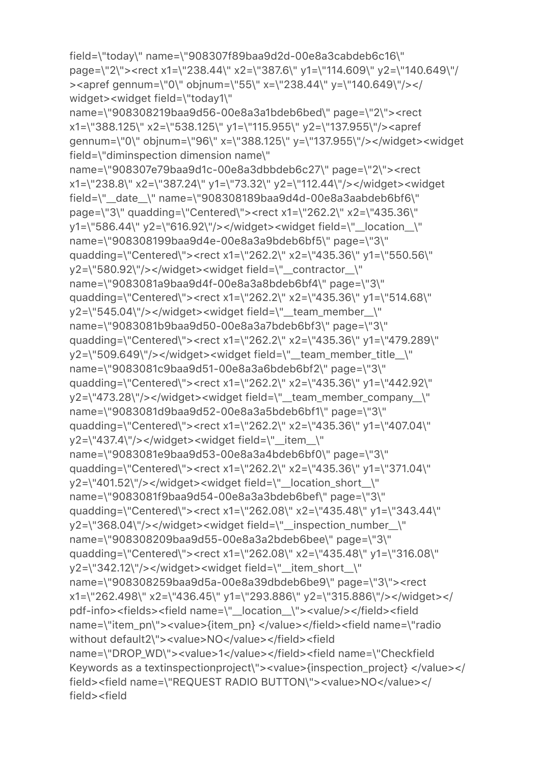```
page=\"2\"><rect x1=\"238.44\" x2=\"387.6\" y1=\"114.609\" y2=\"140.649\"/
><apref gennum=\"0\" objnum=\"55\" x=\"238.44\" y=\"140.649\"/></
widget><widget field=\"today1\" 
name=\"908308219baa9d56-00e8a3a1bdeb6bed\" page=\"2\"><rect 
x1=\"388.125\" x2=\"538.125\" y1=\"115.955\" y2=\"137.955\"/><apref 
gennum=\"0\" objnum=\"96\" x=\"388.125\" y=\"137.955\"/></widget><widget 
field=\"diminspection dimension name\" 
name=\"908307e79baa9d1c-00e8a3dbbdeb6c27\" page=\"2\"><rect 
x1=\"238.8\" x2=\"387.24\" y1=\"73.32\" y2=\"112.44\"/></widget><widget 
field=\"__date__\" name=\"908308189baa9d4d-00e8a3aabdeb6bf6\" 
page=\"3\" quadding=\"Centered\"><rect x1=\"262.2\" x2=\"435.36\" 
y1=\"586.44\" y2=\"616.92\"/></widget><widget field=\"__location__\" 
name=\"908308199baa9d4e-00e8a3a9bdeb6bf5\" page=\"3\" 
quadding=\"Centered\"><rect x1=\"262.2\" x2=\"435.36\" y1=\"550.56\" 
y2=\"580.92\"/></widget><widget field=\"__contractor__\" 
name=\"9083081a9baa9d4f-00e8a3a8bdeb6bf4\" page=\"3\" 
quadding=\"Centered\"><rect x1=\"262.2\" x2=\"435.36\" y1=\"514.68\" 
y2=\"545.04\"/></widget><widget field=\"__team_member__\" 
name=\"9083081b9baa9d50-00e8a3a7bdeb6bf3\" page=\"3\" 
quadding=\"Centered\"><rect x1=\"262.2\" x2=\"435.36\" y1=\"479.289\" 
y2=\"509.649\"/></widget><widget field=\"__team_member_title__\" 
name=\"9083081c9baa9d51-00e8a3a6bdeb6bf2\" page=\"3\" 
quadding=\"Centered\"><rect x1=\"262.2\" x2=\"435.36\" y1=\"442.92\" 
y2=\"473.28\"/></widget><widget field=\"__team_member_company__\" 
name=\"9083081d9baa9d52-00e8a3a5bdeb6bf1\" page=\"3\" 
quadding=\"Centered\"><rect x1=\"262.2\" x2=\"435.36\" y1=\"407.04\" 
y2=\"437.4\"/></widget><widget field=\"__item__\" 
name=\"9083081e9baa9d53-00e8a3a4bdeb6bf0\" page=\"3\" 
quadding=\"Centered\"><rect x1=\"262.2\" x2=\"435.36\" y1=\"371.04\" 
y2=\"401.52\"/></widget><widget field=\"_location_short_\"
name=\"9083081f9baa9d54-00e8a3a3bdeb6bef\" page=\"3\" 
quadding=\"Centered\"><rect x1=\"262.08\" x2=\"435.48\" y1=\"343.44\" 
y2=\"368.04\"/></widget><widget field=\"__inspection_number__\" 
name=\"908308209baa9d55-00e8a3a2bdeb6bee\" page=\"3\" 
quadding=\"Centered\"><rect x1=\"262.08\" x2=\"435.48\" y1=\"316.08\" 
y2=\"342.12\"/></widget><widget field=\"__item_short__\" 
name=\"908308259baa9d5a-00e8a39dbdeb6be9\" page=\"3\"><rect 
x1=\"262.498\" x2=\"436.45\" y1=\"293.886\" y2=\"315.886\"/></widget></
pdf-info><fields><field name=\"__location__\"><value/></field><field 
name=\"item_pn\"><value>{item_pn} </value></field><field name=\"radio 
without default2\"><value>NO</value></field><field
name=\"DROP_WD\"><value>1</value></field><field name=\"Checkfield
Keywords as a textinspectionproject\"><value>{inspection_project} </value></
field><field name=\"REQUEST RADIO BUTTON\"><value>NO</value></
field><field
```
field=\"today\" name=\"908307f89baa9d2d-00e8a3cabdeb6c16\"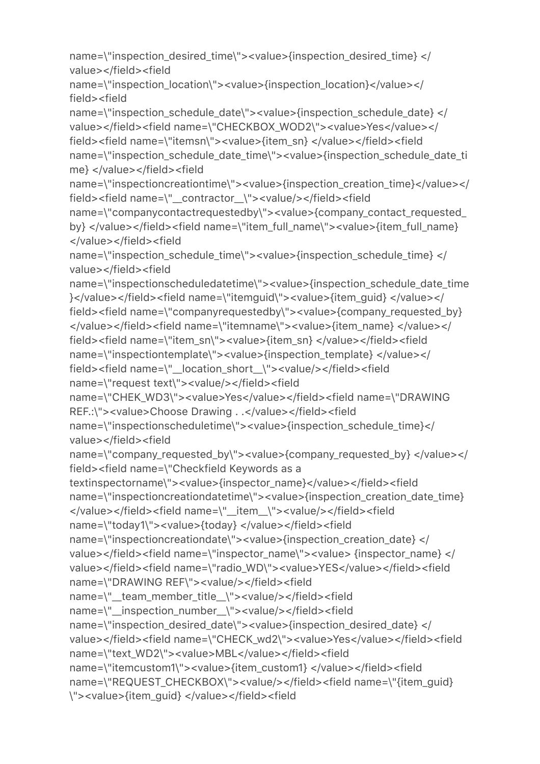name=\"inspection\_desired\_time\"><value>{inspection\_desired\_time} </ value></field><field

```
name=\"inspection_location\"><value>{inspection_location}</value></
field><field
```
name=\"inspection\_schedule\_date\"><value>{inspection\_schedule\_date} </ value></field><field name=\"CHECKBOX\_WOD2\"><value>Yes</value></ field><field name=\"itemsn\"><value>{item\_sn} </value></field><field name=\"inspection\_schedule\_date\_time\"><value>{inspection\_schedule\_date\_ti me} </value></field><field

name=\"inspectioncreationtime\"><value>{inspection\_creation\_time}</value></ field><field name=\"\_\_contractor\_\_\"><value/></field><field

name=\"companycontactrequestedby\"><value>{company\_contact\_requested\_ by} </value></field><field name=\"item\_full\_name\"><value>{item\_full\_name} </value></field><field

name=\"inspection\_schedule\_time\"><value>{inspection\_schedule\_time} </ value></field><field

name=\"inspectionscheduledatetime\"><value>{inspection\_schedule\_date\_time }</value></field><field name=\"itemguid\"><value>{item\_guid} </value></ field><field name=\"companyrequestedby\"><value>{company\_requested\_by} </value></field><field name=\"itemname\"><value>{item\_name} </value></ field><field name=\"item\_sn\"><value>{item\_sn} </value></field><field name=\"inspectiontemplate\"><value>{inspection\_template} </value></ field><field name=\"\_\_location\_short\_\_\"><value/></field><field name=\"request text\"><value/></field><field

name=\"CHEK\_WD3\"><value>Yes</value></field><field name=\"DRAWING REF.:\"><value>Choose Drawing . .</value></field><field

name=\"inspectionscheduletime\"><value>{inspection\_schedule\_time}</ value></field><field

name=\"company\_requested\_by\"><value>{company\_requested\_by} </value></ field><field name=\"Checkfield Keywords as a

```
textinspectorname\"><value>{inspector_name}</value></field><field 
name=\"inspectioncreationdatetime\"><value>{inspection_creation_date_time} 
</value></field><field name=\"__item__\"><value/></field><field
```

```
name=\"today1\"><value>{today} </value></field><field
```

```
name=\"inspectioncreationdate\"><value>{inspection_creation_date} </
value></field><field name=\"inspector_name\"><value> {inspector_name} </
value></field><field name=\"radio_WD\"><value>YES</value></field><field 
name=\"DRAWING REF\"><value/></field><field 
name=\"__team_member_title__\"><value/></field><field 
name=\"__inspection_number__\"><value/></field><field 
name=\"inspection_desired_date\"><value>{inspection_desired_date} </
value></field><field name=\"CHECK_wd2\"><value>Yes</value></field><field
name=\"text_WD2\"><value>MBL</value></field><field 
name=\"itemcustom1\"><value>{item_custom1} </value></field><field
```

```
name=\"REQUEST_CHECKBOX\"><value/></field><field name=\"{item_guid}
\"><value>{item_guid} </value></field><field
```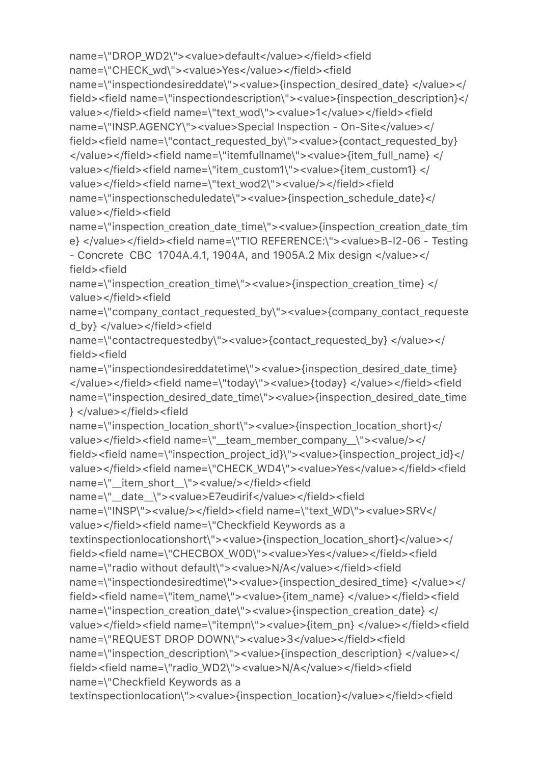name=\"DROP\_WD2\"><value>default</value></field><field name=\"CHECK\_wd\"><value>Yes</value></field><field name=\"inspectiondesireddate\"><value>{inspection\_desired\_date} </value></ field><field name=\"inspectiondescription\"><value>{inspection\_description}</ value></field><field name=\"text\_wod\"><value>1</value></field><field name=\"INSP.AGENCY\"><value>Special Inspection - On-Site</value></ field><field name=\"contact\_requested\_by\"><value>{contact\_requested\_by} </value></field><field name=\"itemfullname\"><value>{item\_full\_name} </ value></field><field name=\"item\_custom1\"><value>{item\_custom1} </ value></field><field name=\"text wod2\"><value/>></field><field name=\"inspectionscheduledate\"><value>{inspection\_schedule\_date}</ value></field><field

name=\"inspection\_creation\_date\_time\"><value>{inspection\_creation\_date\_tim e} </value></field><field name=\"TIO REFERENCE:\"><value>B-I2-06 - Testing - Concrete CBC 1704A.4.1, 1904A, and 1905A.2 Mix design </value></ field><field

name=\"inspection\_creation\_time\"><value>{inspection\_creation\_time} </ value></field><field

name=\"company\_contact\_requested\_by\"><value>{company\_contact\_requeste d\_by} </value></field><field

name=\"contactrequestedby\"><value>{contact\_requested\_by} </value></ field><field

name=\"inspectiondesireddatetime\"><value>{inspection\_desired\_date\_time} </value></field><field name=\"today\"><value>{today} </value></field><field name=\"inspection\_desired\_date\_time\"><value>{inspection\_desired\_date\_time } </value></field><field

name=\"inspection\_location\_short\"><value>{inspection\_location\_short}</ value></field><field name=\"\_team\_member\_company\_\"><value/></ field><field name=\"inspection\_project\_id}\"><value>{inspection\_project\_id}</ value></field><field name=\"CHECK\_WD4\"><value>Yes</value></field><field name=\"\_\_item\_short\_\_\"><value/></field><field

name=\"\_\_date\_\_\"><value>E7eudirif</value></field><field

```
name=\"INSP\"><value/></field><field name=\"text WD\"><value>SRV</
value></field><field name=\"Checkfield Keywords as a 
textinspectionlocationshort\"><value>{inspection_location_short}</value></
```
field><field name=\"CHECBOX\_W0D\"><value>Yes</value></field><field name=\"radio without default\"><value>N/A</value></field><field

name=\"inspectiondesiredtime\"><value>{inspection\_desired\_time} </value></ field><field name=\"item\_name\"><value>{item\_name} </value></field><field

name=\"inspection\_creation\_date\"><value>{inspection\_creation\_date} </ value></field><field name=\"itempn\"><value>{item\_pn} </value></field><field name=\"REQUEST DROP DOWN\"><value>3</value></field><field

name=\"inspection\_description\"><value>{inspection\_description} </value></ field><field name=\"radio\_WD2\"><value>N/A</value></field><field

```
name=\"Checkfield Keywords as a
```
textinspectionlocation\"><value>{inspection\_location}</value></field><field